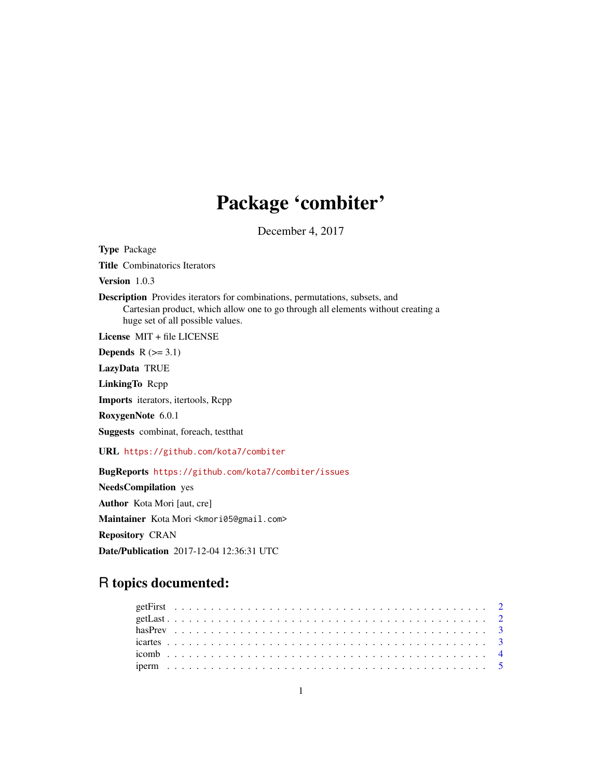### Package 'combiter'

December 4, 2017

<span id="page-0-0"></span>Type Package Title Combinatorics Iterators Version 1.0.3 Description Provides iterators for combinations, permutations, subsets, and Cartesian product, which allow one to go through all elements without creating a huge set of all possible values. License MIT + file LICENSE Depends  $R$  ( $>= 3.1$ ) LazyData TRUE LinkingTo Rcpp Imports iterators, itertools, Rcpp RoxygenNote 6.0.1 Suggests combinat, foreach, testthat URL <https://github.com/kota7/combiter> BugReports <https://github.com/kota7/combiter/issues> NeedsCompilation yes Author Kota Mori [aut, cre] Maintainer Kota Mori <kmori05@gmail.com> Repository CRAN Date/Publication 2017-12-04 12:36:31 UTC

## R topics documented: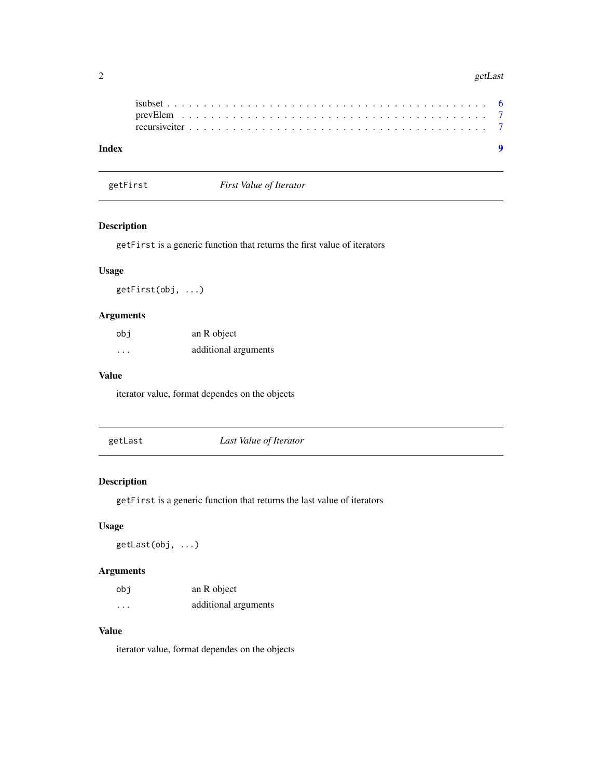#### <span id="page-1-0"></span>2 getLast

| Index |  |  |  |  |  |  |  |  |  |  |  |  |  |  |  |  |  |  |  |  |
|-------|--|--|--|--|--|--|--|--|--|--|--|--|--|--|--|--|--|--|--|--|
|       |  |  |  |  |  |  |  |  |  |  |  |  |  |  |  |  |  |  |  |  |
|       |  |  |  |  |  |  |  |  |  |  |  |  |  |  |  |  |  |  |  |  |

getFirst *First Value of Iterator*

#### Description

getFirst is a generic function that returns the first value of iterators

#### Usage

getFirst(obj, ...)

### Arguments

| obi      | an R object          |
|----------|----------------------|
| $\cdots$ | additional arguments |

#### Value

iterator value, format dependes on the objects

| getLast | Last Value of Iterator |
|---------|------------------------|
|         |                        |

### Description

getFirst is a generic function that returns the last value of iterators

#### Usage

getLast(obj, ...)

#### Arguments

| obi                  | an R object          |
|----------------------|----------------------|
| $\ddot{\phantom{0}}$ | additional arguments |

#### Value

iterator value, format dependes on the objects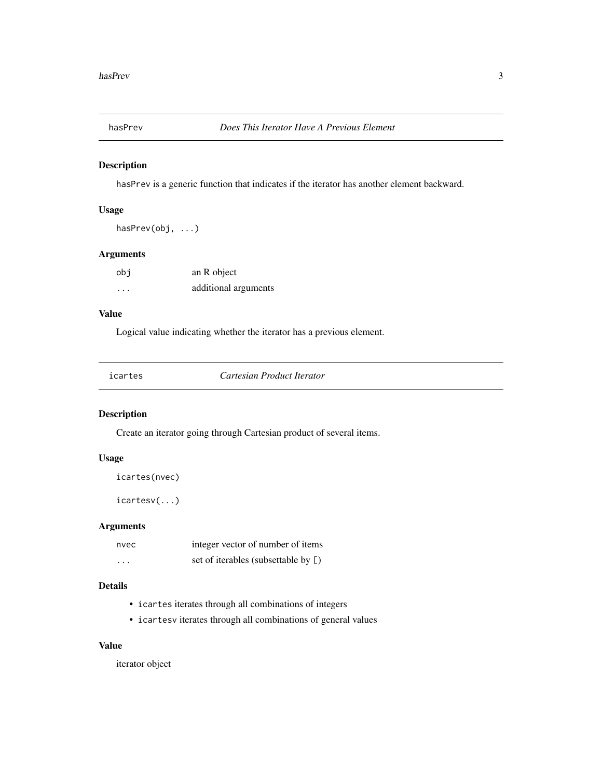<span id="page-2-0"></span>

#### Description

hasPrev is a generic function that indicates if the iterator has another element backward.

#### Usage

hasPrev(obj, ...)

#### Arguments

| obi                  | an R object          |
|----------------------|----------------------|
| $\ddot{\phantom{0}}$ | additional arguments |

#### Value

Logical value indicating whether the iterator has a previous element.

| Cartesian Product Iterator<br>icartes |
|---------------------------------------|
|---------------------------------------|

#### Description

Create an iterator going through Cartesian product of several items.

#### Usage

icartes(nvec)

icartesv(...)

#### Arguments

| nvec     | integer vector of number of items   |
|----------|-------------------------------------|
| $\cdots$ | set of iterables (subsettable by [) |

#### Details

- icartes iterates through all combinations of integers
- icartesv iterates through all combinations of general values

#### Value

iterator object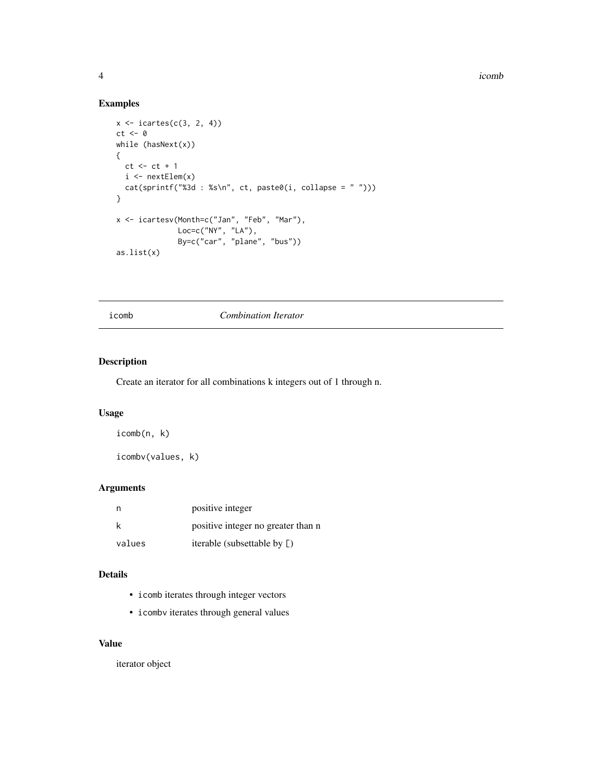4 icomb extensive contract to the contract of the contract of the contract of the contract of the contract of the contract of the contract of the contract of the contract of the contract of the contract of the contract of

#### Examples

```
x \leftarrow icartes(c(3, 2, 4))
ct < -0while (hasNext(x))
{
  ct < - ct + 1i \leq nextElem(x)cat(sprintf("%3d : %s\n", ct, paste0(i, collapse = " ")))
}
x <- icartesv(Month=c("Jan", "Feb", "Mar"),
               Loc=c("NY", "LA"),
               By=c("car", "plane", "bus"))
as.list(x)
```
#### icomb *Combination Iterator*

#### Description

Create an iterator for all combinations k integers out of 1 through n.

#### Usage

```
icomb(n, k)
```
icombv(values, k)

#### Arguments

| n      | positive integer                   |
|--------|------------------------------------|
| k      | positive integer no greater than n |
| values | iterable (subsettable by [)        |

#### Details

- icomb iterates through integer vectors
- icombv iterates through general values

#### Value

iterator object

<span id="page-3-0"></span>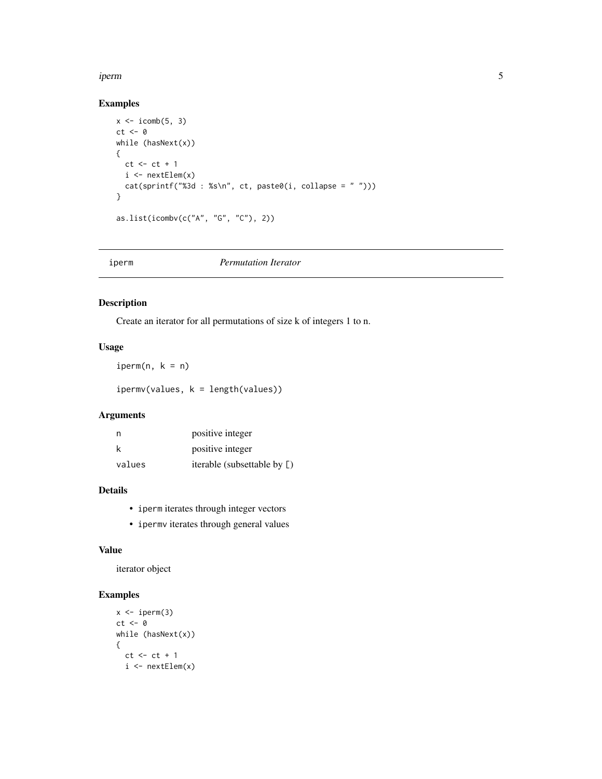#### <span id="page-4-0"></span>iperm 55 to 55 million of the state of the state of the state of the state of the state of the state of the state of the state of the state of the state of the state of the state of the state of the state of the state of t

#### Examples

```
x \leftarrow i \text{comb}(5, 3)ct <- 0
while (hasNext(x))
{
  ct < - ct + 1i \leftarrow nextElement(x)cat(sprintf("%3d : %s\n", ct, paste0(i, collapse = " ")))
}
as.list(icombv(c("A", "G", "C"), 2))
```
#### iperm *Permutation Iterator*

### Description

Create an iterator for all permutations of size k of integers 1 to n.

#### Usage

 $iperm(n, k = n)$ 

ipermv(values, k = length(values))

#### Arguments

| - n    | positive integer            |
|--------|-----------------------------|
| k      | positive integer            |
| values | iterable (subsettable by [) |

#### Details

- iperm iterates through integer vectors
- ipermv iterates through general values

#### Value

iterator object

#### Examples

```
x \leftarrow iperm(3)ct <- 0
while (hasNext(x))
{
  ct < - ct + 1i \leftarrow nextElement(x)
```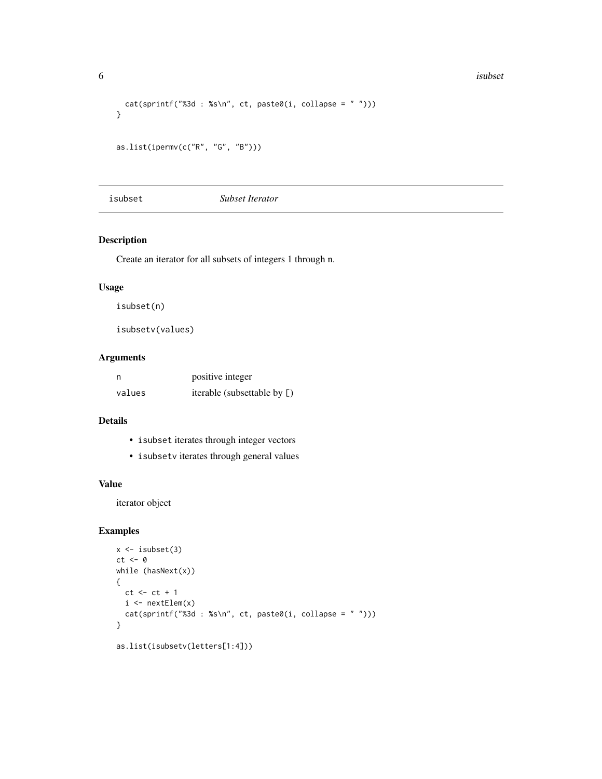```
cat(sprintf("%3d : %s\n', ct, paste0(i, collapse = ""))}
as.list(ipermv(c("R", "G", "B")))
```
isubset *Subset Iterator*

### Description

Create an iterator for all subsets of integers 1 through n.

#### Usage

isubset(n)

isubsetv(values)

#### Arguments

| n      | positive integer            |
|--------|-----------------------------|
| values | iterable (subsettable by [) |

#### Details

- isubset iterates through integer vectors
- isubsetv iterates through general values

#### Value

iterator object

#### Examples

```
x \leftarrow isubset(3)ct <- 0
while (hasNext(x))
{
 ct < - ct + 1i \leq nextElem(x)cat(sprintf("%3d : %s\n", ct, paste0(i, collapse = " ")))
}
as.list(isubsetv(letters[1:4]))
```
<span id="page-5-0"></span>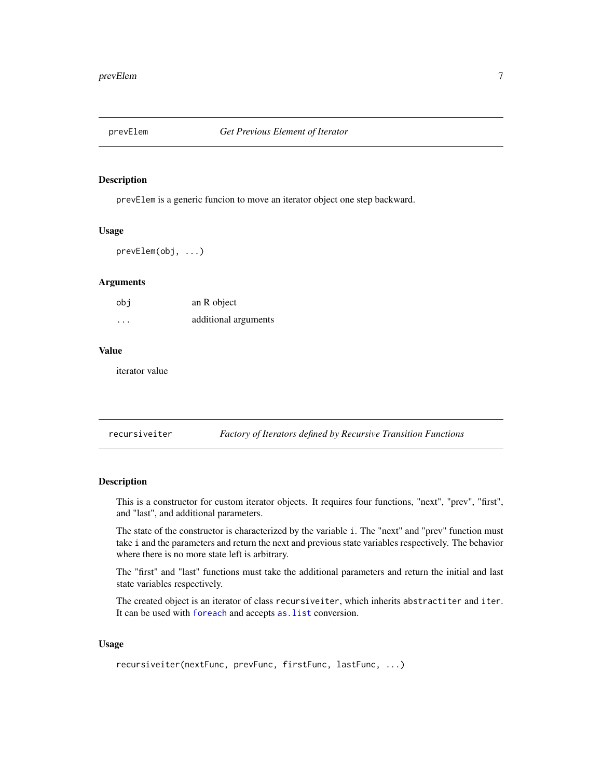<span id="page-6-0"></span>

#### Description

prevElem is a generic funcion to move an iterator object one step backward.

#### Usage

prevElem(obj, ...)

#### Arguments

| obi      | an R object          |
|----------|----------------------|
| $\cdots$ | additional arguments |

#### Value

iterator value

recursiveiter *Factory of Iterators defined by Recursive Transition Functions*

#### Description

This is a constructor for custom iterator objects. It requires four functions, "next", "prev", "first", and "last", and additional parameters.

The state of the constructor is characterized by the variable i. The "next" and "prev" function must take i and the parameters and return the next and previous state variables respectively. The behavior where there is no more state left is arbitrary.

The "first" and "last" functions must take the additional parameters and return the initial and last state variables respectively.

The created object is an iterator of class recursiveiter, which inherits abstractiter and iter. It can be used with [foreach](#page-0-0) and accepts [as.list](#page-0-0) conversion.

#### Usage

```
recursiveiter(nextFunc, prevFunc, firstFunc, lastFunc, ...)
```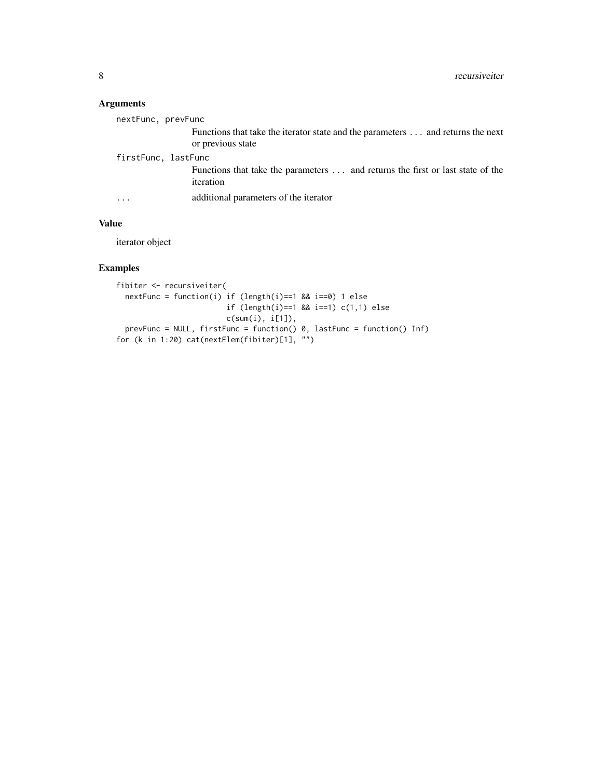#### Arguments

| nextFunc, prevFunc  |                                                                                                      |
|---------------------|------------------------------------------------------------------------------------------------------|
|                     | Functions that take the iterator state and the parameters  and returns the next<br>or previous state |
| firstFunc, lastFunc |                                                                                                      |
|                     | Functions that take the parameters  and returns the first or last state of the<br>iteration          |
| .                   | additional parameters of the iterator                                                                |
|                     |                                                                                                      |

#### Value

iterator object

#### Examples

```
fibiter <- recursiveiter(
 nextFunc = function(i) if (length(i)==1 && i==0) 1 else
                        if (length(i)==1 && i==1) c(1,1) else
                        c(sum(i), i[1]),
  prevFunc = NULL, firstFunc = function() 0, lastFunc = function() Inf)
for (k in 1:20) cat(nextElem(fibiter)[1], "")
```